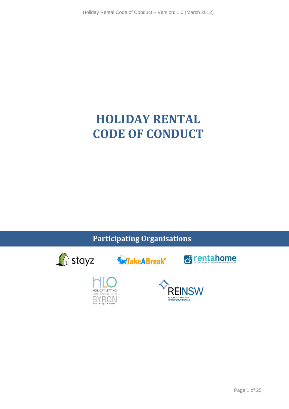# **HOLIDAY RENTAL CODE OF CONDUCT**

**Participating Organisations** 

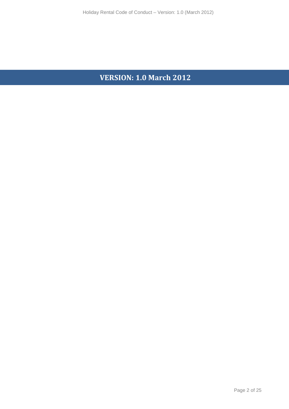# **VERSION: 1.0 March 2012**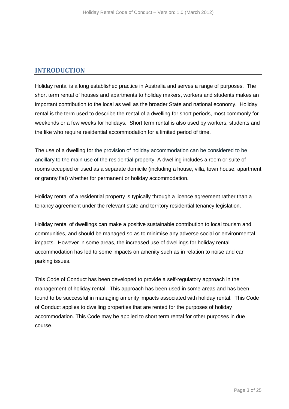## **INTRODUCTION**

Holiday rental is a long established practice in Australia and serves a range of purposes. The short term rental of houses and apartments to holiday makers, workers and students makes an important contribution to the local as well as the broader State and national economy. Holiday rental is the term used to describe the rental of a dwelling for short periods, most commonly for weekends or a few weeks for holidays. Short term rental is also used by workers, students and the like who require residential accommodation for a limited period of time.

The use of a dwelling for the provision of holiday accommodation can be considered to be ancillary to the main use of the residential property. A dwelling includes a room or suite of rooms occupied or used as a separate domicile (including a house, villa, town house, apartment or granny flat) whether for permanent or holiday accommodation.

Holiday rental of a residential property is typically through a licence agreement rather than a tenancy agreement under the relevant state and territory residential tenancy legislation.

Holiday rental of dwellings can make a positive sustainable contribution to local tourism and communities, and should be managed so as to minimise any adverse social or environmental impacts. However in some areas, the increased use of dwellings for holiday rental accommodation has led to some impacts on amenity such as in relation to noise and car parking issues.

This Code of Conduct has been developed to provide a self-regulatory approach in the management of holiday rental. This approach has been used in some areas and has been found to be successful in managing amenity impacts associated with holiday rental. This Code of Conduct applies to dwelling properties that are rented for the purposes of holiday accommodation. This Code may be applied to short term rental for other purposes in due course.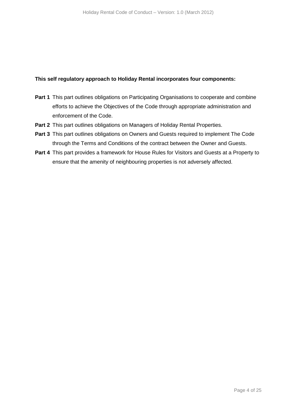## **This self regulatory approach to Holiday Rental incorporates four components:**

- **Part 1** This part outlines obligations on Participating Organisations to cooperate and combine efforts to achieve the Objectives of the Code through appropriate administration and enforcement of the Code.
- **Part 2** This part outlines obligations on Managers of Holiday Rental Properties.
- **Part 3** This part outlines obligations on Owners and Guests required to implement The Code through the Terms and Conditions of the contract between the Owner and Guests.
- **Part 4** This part provides a framework for House Rules for Visitors and Guests at a Property to ensure that the amenity of neighbouring properties is not adversely affected.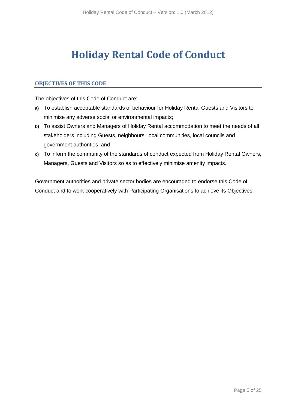# **Holiday Rental Code of Conduct**

## **OBJECTIVES OF THIS CODE**

The objectives of this Code of Conduct are:

- **a)** To establish acceptable standards of behaviour for Holiday Rental Guests and Visitors to minimise any adverse social or environmental impacts;
- **b)** To assist Owners and Managers of Holiday Rental accommodation to meet the needs of all stakeholders including Guests, neighbours, local communities, local councils and government authorities; and
- **c)** To inform the community of the standards of conduct expected from Holiday Rental Owners, Managers, Guests and Visitors so as to effectively minimise amenity impacts.

Government authorities and private sector bodies are encouraged to endorse this Code of Conduct and to work cooperatively with Participating Organisations to achieve its Objectives.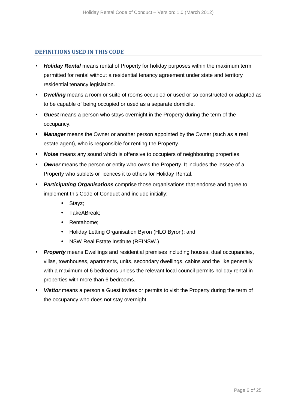#### **DEFINITIONS USED IN THIS CODE**

- **Holiday Rental** means rental of Property for holiday purposes within the maximum term permitted for rental without a residential tenancy agreement under state and territory residential tenancy legislation.
- **Dwelling** means a room or suite of rooms occupied or used or so constructed or adapted as to be capable of being occupied or used as a separate domicile.
- **Guest** means a person who stays overnight in the Property during the term of the occupancy.
- **Manager** means the Owner or another person appointed by the Owner (such as a real estate agent), who is responsible for renting the Property.
- **Noise** means any sound which is offensive to occupiers of neighbouring properties.
- **Owner** means the person or entity who owns the Property. It includes the lessee of a Property who sublets or licences it to others for Holiday Rental.
- **Participating Organisations** comprise those organisations that endorse and agree to implement this Code of Conduct and include initially:
	- Stayz;
	- TakeABreak;
	- Rentahome;
	- Holiday Letting Organisation Byron (HLO Byron); and
	- NSW Real Estate Institute (REINSW.)
- **Property** means Dwellings and residential premises including houses, dual occupancies, villas, townhouses, apartments, units, secondary dwellings, cabins and the like generally with a maximum of 6 bedrooms unless the relevant local council permits holiday rental in properties with more than 6 bedrooms.
- **Visitor** means a person a Guest invites or permits to visit the Property during the term of the occupancy who does not stay overnight.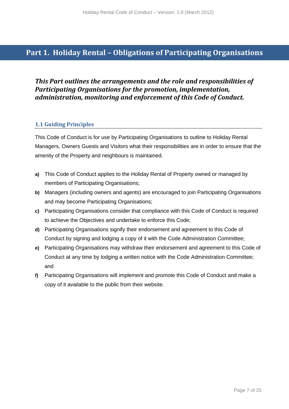# **Part 1. Holiday Rental – Obligations of Participating Organisations**

## *This Part outlines the arrangements and the role and responsibilities of Participating Organisations for the promotion, implementation, administration, monitoring and enforcement of this Code of Conduct.*

## **1.1 Guiding Principles**

This Code of Conduct is for use by Participating Organisations to outline to Holiday Rental Managers, Owners Guests and Visitors what their responsibilities are in order to ensure that the amenity of the Property and neighbours is maintained.

- **a)** This Code of Conduct applies to the Holiday Rental of Property owned or managed by members of Participating Organisations;
- **b)** Managers (including owners and agents) are encouraged to join Participating Organisations and may become Participating Organisations;
- **c)** Participating Organisations consider that compliance with this Code of Conduct is required to achieve the Objectives and undertake to enforce this Code;
- **d)** Participating Organisations signify their endorsement and agreement to this Code of Conduct by signing and lodging a copy of it with the Code Administration Committee;
- **e)** Participating Organisations may withdraw their endorsement and agreement to this Code of Conduct at any time by lodging a written notice with the Code Administration Committee; and
- **f)** Participating Organisations will implement and promote this Code of Conduct and make a copy of it available to the public from their website.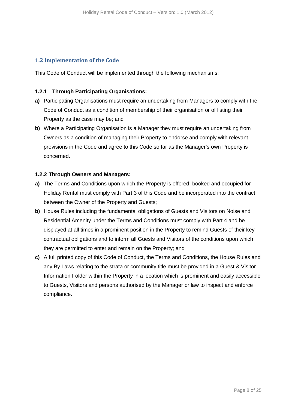## **1.2 Implementation of the Code**

This Code of Conduct will be implemented through the following mechanisms:

## **1.2.1 Through Participating Organisations:**

- **a)** Participating Organisations must require an undertaking from Managers to comply with the Code of Conduct as a condition of membership of their organisation or of listing their Property as the case may be; and
- **b)** Where a Participating Organisation is a Manager they must require an undertaking from Owners as a condition of managing their Property to endorse and comply with relevant provisions in the Code and agree to this Code so far as the Manager's own Property is concerned.

## **1.2.2 Through Owners and Managers:**

- **a)** The Terms and Conditions upon which the Property is offered, booked and occupied for Holiday Rental must comply with Part 3 of this Code and be incorporated into the contract between the Owner of the Property and Guests;
- **b)** House Rules including the fundamental obligations of Guests and Visitors on Noise and Residential Amenity under the Terms and Conditions must comply with Part 4 and be displayed at all times in a prominent position in the Property to remind Guests of their key contractual obligations and to inform all Guests and Visitors of the conditions upon which they are permitted to enter and remain on the Property; and
- **c)** A full printed copy of this Code of Conduct, the Terms and Conditions, the House Rules and any By Laws relating to the strata or community title must be provided in a Guest & Visitor Information Folder within the Property in a location which is prominent and easily accessible to Guests, Visitors and persons authorised by the Manager or law to inspect and enforce compliance.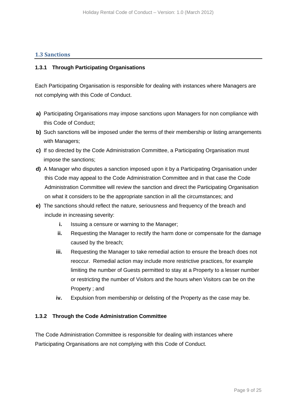## **1.3 Sanctions**

#### **1.3.1 Through Participating Organisations**

Each Participating Organisation is responsible for dealing with instances where Managers are not complying with this Code of Conduct.

- **a)** Participating Organisations may impose sanctions upon Managers for non compliance with this Code of Conduct;
- **b)** Such sanctions will be imposed under the terms of their membership or listing arrangements with Managers;
- **c)** If so directed by the Code Administration Committee, a Participating Organisation must impose the sanctions;
- **d)** A Manager who disputes a sanction imposed upon it by a Participating Organisation under this Code may appeal to the Code Administration Committee and in that case the Code Administration Committee will review the sanction and direct the Participating Organisation on what it considers to be the appropriate sanction in all the circumstances; and
- **e)** The sanctions should reflect the nature, seriousness and frequency of the breach and include in increasing severity:
	- **i.** Issuing a censure or warning to the Manager;
	- **ii.** Requesting the Manager to rectify the harm done or compensate for the damage caused by the breach;
	- **iii.** Requesting the Manager to take remedial action to ensure the breach does not reoccur. Remedial action may include more restrictive practices, for example limiting the number of Guests permitted to stay at a Property to a lesser number or restricting the number of Visitors and the hours when Visitors can be on the Property ; and
	- **iv.** Expulsion from membership or delisting of the Property as the case may be.

#### **1.3.2 Through the Code Administration Committee**

The Code Administration Committee is responsible for dealing with instances where Participating Organisations are not complying with this Code of Conduct.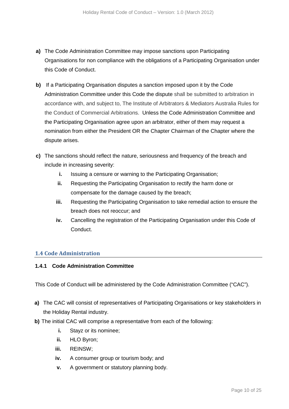- **a)** The Code Administration Committee may impose sanctions upon Participating Organisations for non compliance with the obligations of a Participating Organisation under this Code of Conduct.
- **b)** If a Participating Organisation disputes a sanction imposed upon it by the Code Administration Committee under this Code the dispute shall be submitted to arbitration in accordance with, and subject to, The Institute of Arbitrators & Mediators Australia Rules for the Conduct of Commercial Arbitrations. Unless the Code Administration Committee and the Participating Organisation agree upon an arbitrator, either of them may request a nomination from either the President OR the Chapter Chairman of the Chapter where the dispute arises.
- **c)** The sanctions should reflect the nature, seriousness and frequency of the breach and include in increasing severity:
	- **i.** Issuing a censure or warning to the Participating Organisation;
	- **ii.** Requesting the Participating Organisation to rectify the harm done or compensate for the damage caused by the breach;
	- **iii.** Requesting the Participating Organisation to take remedial action to ensure the breach does not reoccur; and
	- **iv.** Cancelling the registration of the Participating Organisation under this Code of Conduct.

## **1.4 Code Administration**

#### **1.4.1 Code Administration Committee**

This Code of Conduct will be administered by the Code Administration Committee ("CAC").

- **a)** The CAC will consist of representatives of Participating Organisations or key stakeholders in the Holiday Rental industry.
- **b)** The initial CAC will comprise a representative from each of the following:
	- **i.** Stayz or its nominee;
	- **ii.** HLO Byron;
	- **iii.** REINSW;
	- **iv.** A consumer group or tourism body; and
	- **v.** A government or statutory planning body.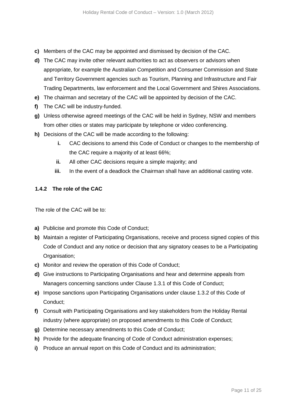- **c)** Members of the CAC may be appointed and dismissed by decision of the CAC.
- **d)** The CAC may invite other relevant authorities to act as observers or advisors when appropriate, for example the Australian Competition and Consumer Commission and State and Territory Government agencies such as Tourism, Planning and Infrastructure and Fair Trading Departments, law enforcement and the Local Government and Shires Associations.
- **e)** The chairman and secretary of the CAC will be appointed by decision of the CAC.
- **f)** The CAC will be industry-funded.
- **g)** Unless otherwise agreed meetings of the CAC will be held in Sydney, NSW and members from other cities or states may participate by telephone or video conferencing.
- **h)** Decisions of the CAC will be made according to the following:
	- **i.** CAC decisions to amend this Code of Conduct or changes to the membership of the CAC require a majority of at least 66%;
	- **ii.** All other CAC decisions require a simple majority; and
	- **iii.** In the event of a deadlock the Chairman shall have an additional casting vote.

#### **1.4.2 The role of the CAC**

The role of the CAC will be to:

- **a)** Publicise and promote this Code of Conduct;
- **b)** Maintain a register of Participating Organisations, receive and process signed copies of this Code of Conduct and any notice or decision that any signatory ceases to be a Participating Organisation;
- **c)** Monitor and review the operation of this Code of Conduct;
- **d)** Give instructions to Participating Organisations and hear and determine appeals from Managers concerning sanctions under Clause 1.3.1 of this Code of Conduct;
- **e)** Impose sanctions upon Participating Organisations under clause 1.3.2 of this Code of Conduct;
- **f)** Consult with Participating Organisations and key stakeholders from the Holiday Rental industry (where appropriate) on proposed amendments to this Code of Conduct;
- **g)** Determine necessary amendments to this Code of Conduct;
- **h)** Provide for the adequate financing of Code of Conduct administration expenses;
- **i)** Produce an annual report on this Code of Conduct and its administration;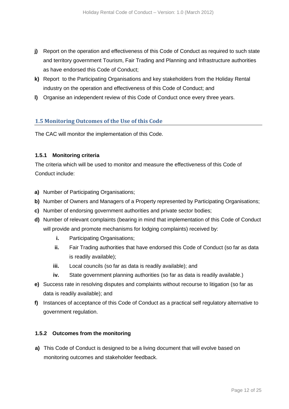- **j)** Report on the operation and effectiveness of this Code of Conduct as required to such state and territory government Tourism, Fair Trading and Planning and Infrastructure authorities as have endorsed this Code of Conduct;
- **k)** Report to the Participating Organisations and key stakeholders from the Holiday Rental industry on the operation and effectiveness of this Code of Conduct; and
- **l)** Organise an independent review of this Code of Conduct once every three years.

## **1.5 Monitoring Outcomes of the Use of this Code**

The CAC will monitor the implementation of this Code.

## **1.5.1 Monitoring criteria**

The criteria which will be used to monitor and measure the effectiveness of this Code of Conduct include:

- **a)** Number of Participating Organisations;
- **b)** Number of Owners and Managers of a Property represented by Participating Organisations;
- **c)** Number of endorsing government authorities and private sector bodies;
- **d)** Number of relevant complaints (bearing in mind that implementation of this Code of Conduct will provide and promote mechanisms for lodging complaints) received by:
	- **i.** Participating Organisations;
	- **ii.** Fair Trading authorities that have endorsed this Code of Conduct (so far as data is readily available);
	- **iii.** Local councils (so far as data is readily available); and
	- **iv.** State government planning authorities (so far as data is readily available.)
- **e)** Success rate in resolving disputes and complaints without recourse to litigation (so far as data is readily available); and
- **f)** Instances of acceptance of this Code of Conduct as a practical self regulatory alternative to government regulation.

#### **1.5.2 Outcomes from the monitoring**

**a)** This Code of Conduct is designed to be a living document that will evolve based on monitoring outcomes and stakeholder feedback.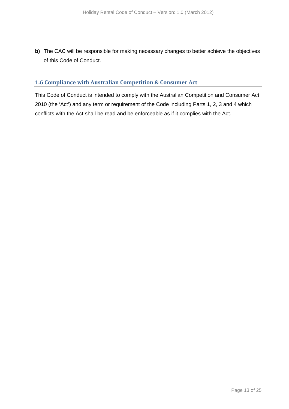**b)** The CAC will be responsible for making necessary changes to better achieve the objectives of this Code of Conduct.

## **1.6 Compliance with Australian Competition & Consumer Act**

This Code of Conduct is intended to comply with the Australian Competition and Consumer Act 2010 (the 'Act') and any term or requirement of the Code including Parts 1, 2, 3 and 4 which conflicts with the Act shall be read and be enforceable as if it complies with the Act.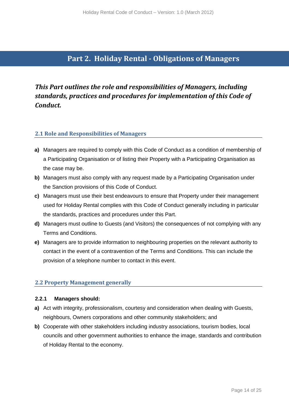## **Part 2. Holiday Rental - Obligations of Managers**

# *This Part outlines the role and responsibilities of Managers, including standards, practices and procedures for implementation of this Code of Conduct.*

## **2.1 Role and Responsibilities of Managers**

- **a)** Managers are required to comply with this Code of Conduct as a condition of membership of a Participating Organisation or of listing their Property with a Participating Organisation as the case may be.
- **b)** Managers must also comply with any request made by a Participating Organisation under the Sanction provisions of this Code of Conduct.
- **c)** Managers must use their best endeavours to ensure that Property under their management used for Holiday Rental complies with this Code of Conduct generally including in particular the standards, practices and procedures under this Part.
- **d)** Managers must outline to Guests (and Visitors) the consequences of not complying with any Terms and Conditions.
- **e)** Managers are to provide information to neighbouring properties on the relevant authority to contact in the event of a contravention of the Terms and Conditions. This can include the provision of a telephone number to contact in this event.

## **2.2 Property Management generally**

#### **2.2.1 Managers should:**

- **a)** Act with integrity, professionalism, courtesy and consideration when dealing with Guests, neighbours, Owners corporations and other community stakeholders; and
- **b)** Cooperate with other stakeholders including industry associations, tourism bodies, local councils and other government authorities to enhance the image, standards and contribution of Holiday Rental to the economy.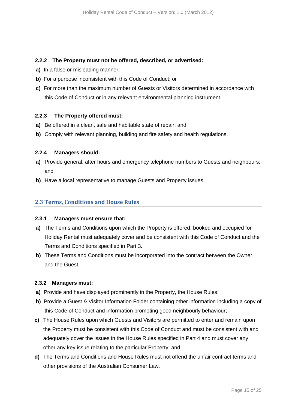#### **2.2.2 The Property must not be offered, described, or advertised:**

- **a)** In a false or misleading manner;
- **b)** For a purpose inconsistent with this Code of Conduct; or
- **c)** For more than the maximum number of Guests or Visitors determined in accordance with this Code of Conduct or in any relevant environmental planning instrument.

## **2.2.3 The Property offered must:**

- **a)** Be offered in a clean, safe and habitable state of repair; and
- **b)** Comply with relevant planning, building and fire safety and health regulations.

#### **2.2.4 Managers should:**

- **a)** Provide general, after hours and emergency telephone numbers to Guests and neighbours; and
- **b)** Have a local representative to manage Guests and Property issues.

## **2.3 Terms, Conditions and House Rules**

#### **2.3.1 Managers must ensure that:**

- **a)** The Terms and Conditions upon which the Property is offered, booked and occupied for Holiday Rental must adequately cover and be consistent with this Code of Conduct and the Terms and Conditions specified in Part 3.
- **b)** These Terms and Conditions must be incorporated into the contract between the Owner and the Guest.

## **2.3.2 Managers must:**

- **a)** Provide and have displayed prominently in the Property, the House Rules;
- **b)** Provide a Guest & Visitor Information Folder containing other information including a copy of this Code of Conduct and information promoting good neighbourly behaviour;
- **c)** The House Rules upon which Guests and Visitors are permitted to enter and remain upon the Property must be consistent with this Code of Conduct and must be consistent with and adequately cover the issues in the House Rules specified in Part 4 and must cover any other any key issue relating to the particular Property; and
- **d)** The Terms and Conditions and House Rules must not offend the unfair contract terms and other provisions of the Australian Consumer Law.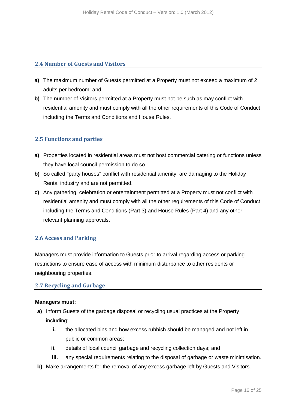## **2.4 Number of Guests and Visitors**

- **a)** The maximum number of Guests permitted at a Property must not exceed a maximum of 2 adults per bedroom; and
- **b)** The number of Visitors permitted at a Property must not be such as may conflict with residential amenity and must comply with all the other requirements of this Code of Conduct including the Terms and Conditions and House Rules.

## **2.5 Functions and parties**

- **a)** Properties located in residential areas must not host commercial catering or functions unless they have local council permission to do so.
- **b)** So called "party houses" conflict with residential amenity, are damaging to the Holiday Rental industry and are not permitted.
- **c)** Any gathering, celebration or entertainment permitted at a Property must not conflict with residential amenity and must comply with all the other requirements of this Code of Conduct including the Terms and Conditions (Part 3) and House Rules (Part 4) and any other relevant planning approvals.

## **2.6 Access and Parking**

Managers must provide information to Guests prior to arrival regarding access or parking restrictions to ensure ease of access with minimum disturbance to other residents or neighbouring properties.

#### **2.7 Recycling and Garbage**

#### **Managers must:**

- **a)** Inform Guests of the garbage disposal or recycling usual practices at the Property including:
	- **i.** the allocated bins and how excess rubbish should be managed and not left in public or common areas;
	- **ii.** details of local council garbage and recycling collection days; and
	- **iii.** any special requirements relating to the disposal of garbage or waste minimisation.
- **b)** Make arrangements for the removal of any excess garbage left by Guests and Visitors.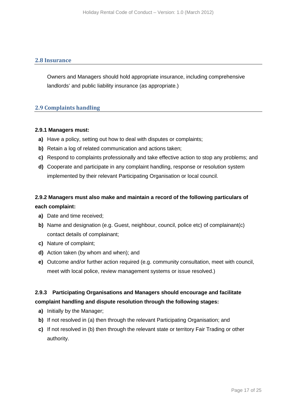## **2.8 Insurance**

Owners and Managers should hold appropriate insurance, including comprehensive landlords' and public liability insurance (as appropriate.)

## **2.9 Complaints handling**

#### **2.9.1 Managers must:**

- **a)** Have a policy, setting out how to deal with disputes or complaints;
- **b)** Retain a log of related communication and actions taken;
- **c)** Respond to complaints professionally and take effective action to stop any problems; and
- **d)** Cooperate and participate in any complaint handling, response or resolution system implemented by their relevant Participating Organisation or local council.

## **2.9.2 Managers must also make and maintain a record of the following particulars of each complaint:**

- **a)** Date and time received;
- **b)** Name and designation (e.g. Guest, neighbour, council, police etc) of complainant(c) contact details of complainant;
- **c)** Nature of complaint;
- **d)** Action taken (by whom and when); and
- **e)** Outcome and/or further action required (e.g. community consultation, meet with council, meet with local police, review management systems or issue resolved.)

## **2.9.3 Participating Organisations and Managers should encourage and facilitate complaint handling and dispute resolution through the following stages:**

- **a)** Initially by the Manager;
- **b)** If not resolved in (a) then through the relevant Participating Organisation; and
- **c)** If not resolved in (b) then through the relevant state or territory Fair Trading or other authority.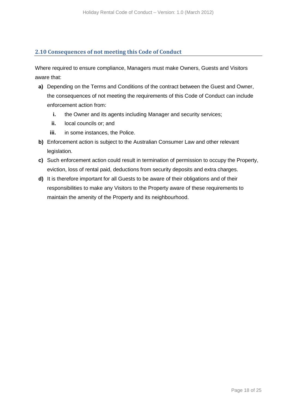## **2.10 Consequences of not meeting this Code of Conduct**

Where required to ensure compliance, Managers must make Owners, Guests and Visitors aware that:

- **a)** Depending on the Terms and Conditions of the contract between the Guest and Owner, the consequences of not meeting the requirements of this Code of Conduct can include enforcement action from:
	- **i.** the Owner and its agents including Manager and security services;
	- **ii.** local councils or; and
	- **iii.** in some instances, the Police.
- **b)** Enforcement action is subject to the Australian Consumer Law and other relevant legislation.
- **c)** Such enforcement action could result in termination of permission to occupy the Property, eviction, loss of rental paid, deductions from security deposits and extra charges.
- **d)** It is therefore important for all Guests to be aware of their obligations and of their responsibilities to make any Visitors to the Property aware of these requirements to maintain the amenity of the Property and its neighbourhood.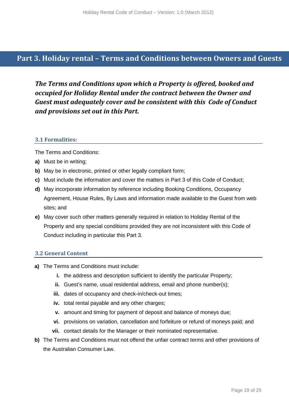# **Part 3. Holiday rental – Terms and Conditions between Owners and Guests**

*The Terms and Conditions upon which a Property is offered, booked and occupied for Holiday Rental under the contract between the Owner and Guest must adequately cover and be consistent with this Code of Conduct and provisions set out in this Part.* 

## **3.1 Formalities:**

The Terms and Conditions:

- **a)** Must be in writing;
- **b)** May be in electronic, printed or other legally compliant form;
- **c)** Must include the information and cover the matters in Part 3 of this Code of Conduct;
- **d)** May incorporate information by reference including Booking Conditions, Occupancy Agreement, House Rules, By Laws and information made available to the Guest from web sites; and
- **e)** May cover such other matters generally required in relation to Holiday Rental of the Property and any special conditions provided they are not inconsistent with this Code of Conduct including in particular this Part 3.

#### **3.2 General Content**

- **a)** The Terms and Conditions must include:
	- **i.** the address and description sufficient to identify the particular Property;
	- **ii.** Guest's name, usual residential address, email and phone number(s);
	- **iii.** dates of occupancy and check-in/check-out times;
	- **iv.** total rental payable and any other charges;
	- **v.** amount and timing for payment of deposit and balance of moneys due;
	- **vi.** provisions on variation, cancellation and forfeiture or refund of moneys paid; and
	- **vii.** contact details for the Manager or their nominated representative.
- **b)** The Terms and Conditions must not offend the unfair contract terms and other provisions of the Australian Consumer Law.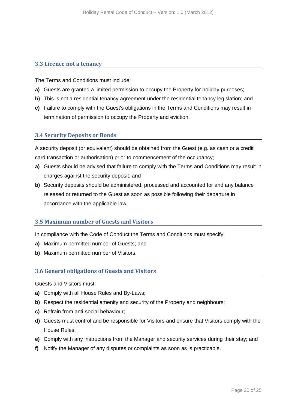## **3.3 Licence not a tenancy**

The Terms and Conditions must include:

- **a)** Guests are granted a limited permission to occupy the Property for holiday purposes;
- **b)** This is not a residential tenancy agreement under the residential tenancy legislation; and
- **c)** Failure to comply with the Guest's obligations in the Terms and Conditions may result in termination of permission to occupy the Property and eviction.

## **3.4 Security Deposits or Bonds**

A security deposit (or equivalent) should be obtained from the Guest (e.g. as cash or a credit card transaction or authorisation) prior to commencement of the occupancy;

- **a)** Guests should be advised that failure to comply with the Terms and Conditions may result in charges against the security deposit; and
- **b)** Security deposits should be administered, processed and accounted for and any balance released or returned to the Guest as soon as possible following their departure in accordance with the applicable law.

## **3.5 Maximum number of Guests and Visitors**

In compliance with the Code of Conduct the Terms and Conditions must specify:

- **a)** Maximum permitted number of Guests; and
- **b)** Maximum permitted number of Visitors.

#### **3.6 General obligations of Guests and Visitors**

Guests and Visitors must:

- **a)** Comply with all House Rules and By-Laws;
- **b)** Respect the residential amenity and security of the Property and neighbours;
- **c)** Refrain from anti-social behaviour;
- **d)** Guests must control and be responsible for Visitors and ensure that Visitors comply with the House Rules;
- **e)** Comply with any instructions from the Manager and security services during their stay; and
- **f)** Notify the Manager of any disputes or complaints as soon as is practicable.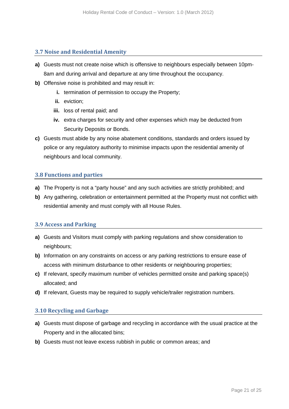#### **3.7 Noise and Residential Amenity**

- **a)** Guests must not create noise which is offensive to neighbours especially between 10pm-8am and during arrival and departure at any time throughout the occupancy.
- **b)** Offensive noise is prohibited and may result in:
	- **i.** termination of permission to occupy the Property;
	- **ii.** eviction;
	- **iii.** loss of rental paid; and
	- **iv.** extra charges for security and other expenses which may be deducted from Security Deposits or Bonds.
- **c)** Guests must abide by any noise abatement conditions, standards and orders issued by police or any regulatory authority to minimise impacts upon the residential amenity of neighbours and local community.

## **3.8 Functions and parties**

- **a)** The Property is not a "party house" and any such activities are strictly prohibited; and
- **b)** Any gathering, celebration or entertainment permitted at the Property must not conflict with residential amenity and must comply with all House Rules.

#### **3.9 Access and Parking**

- **a)** Guests and Visitors must comply with parking regulations and show consideration to neighbours;
- **b)** Information on any constraints on access or any parking restrictions to ensure ease of access with minimum disturbance to other residents or neighbouring properties;
- **c)** If relevant, specify maximum number of vehicles permitted onsite and parking space(s) allocated; and
- **d)** If relevant, Guests may be required to supply vehicle/trailer registration numbers.

## **3.10 Recycling and Garbage**

- **a)** Guests must dispose of garbage and recycling in accordance with the usual practice at the Property and in the allocated bins;
- **b)** Guests must not leave excess rubbish in public or common areas; and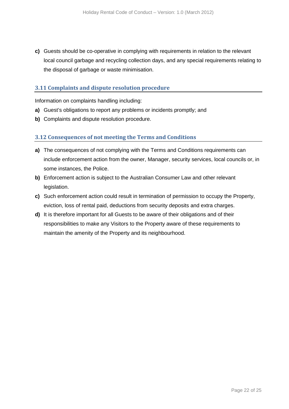**c)** Guests should be co-operative in complying with requirements in relation to the relevant local council garbage and recycling collection days, and any special requirements relating to the disposal of garbage or waste minimisation.

## **3.11 Complaints and dispute resolution procedure**

Information on complaints handling including:

- **a)** Guest's obligations to report any problems or incidents promptly; and
- **b)** Complaints and dispute resolution procedure.

## **3.12 Consequences of not meeting the Terms and Conditions**

- **a)** The consequences of not complying with the Terms and Conditions requirements can include enforcement action from the owner, Manager, security services, local councils or, in some instances, the Police.
- **b)** Enforcement action is subject to the Australian Consumer Law and other relevant legislation.
- **c)** Such enforcement action could result in termination of permission to occupy the Property, eviction, loss of rental paid, deductions from security deposits and extra charges.
- **d)** It is therefore important for all Guests to be aware of their obligations and of their responsibilities to make any Visitors to the Property aware of these requirements to maintain the amenity of the Property and its neighbourhood.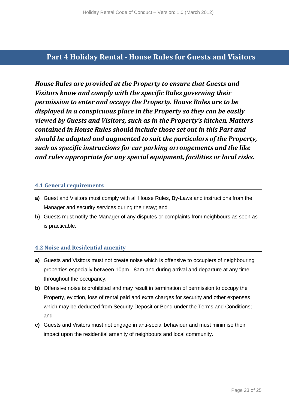# **Part 4 Holiday Rental - House Rules for Guests and Visitors**

*House Rules are provided at the Property to ensure that Guests and Visitors know and comply with the specific Rules governing their permission to enter and occupy the Property. House Rules are to be displayed in a conspicuous place in the Property so they can be easily viewed by Guests and Visitors, such as in the Property's kitchen. Matters contained in House Rules should include those set out in this Part and should be adapted and augmented to suit the particulars of the Property, such as specific instructions for car parking arrangements and the like and rules appropriate for any special equipment, facilities or local risks.* 

## **4.1 General requirements**

- **a)** Guest and Visitors must comply with all House Rules, By-Laws and instructions from the Manager and security services during their stay; and
- **b)** Guests must notify the Manager of any disputes or complaints from neighbours as soon as is practicable.

## **4.2 Noise and Residential amenity**

- **a)** Guests and Visitors must not create noise which is offensive to occupiers of neighbouring properties especially between 10pm - 8am and during arrival and departure at any time throughout the occupancy;
- **b)** Offensive noise is prohibited and may result in termination of permission to occupy the Property, eviction, loss of rental paid and extra charges for security and other expenses which may be deducted from Security Deposit or Bond under the Terms and Conditions; and
- **c)** Guests and Visitors must not engage in anti-social behaviour and must minimise their impact upon the residential amenity of neighbours and local community.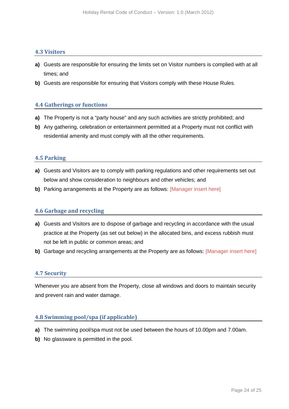#### **4.3 Visitors**

- **a)** Guests are responsible for ensuring the limits set on Visitor numbers is complied with at all times; and
- **b)** Guests are responsible for ensuring that Visitors comply with these House Rules.

#### **4.4 Gatherings or functions**

- **a)** The Property is not a "party house" and any such activities are strictly prohibited; and
- **b)** Any gathering, celebration or entertainment permitted at a Property must not conflict with residential amenity and must comply with all the other requirements.

#### **4.5 Parking**

- **a)** Guests and Visitors are to comply with parking regulations and other requirements set out below and show consideration to neighbours and other vehicles; and
- **b)** Parking arrangements at the Property are as follows: [Manager insert here]

#### **4.6 Garbage and recycling**

- **a)** Guests and Visitors are to dispose of garbage and recycling in accordance with the usual practice at the Property (as set out below) in the allocated bins, and excess rubbish must not be left in public or common areas; and
- **b)** Garbage and recycling arrangements at the Property are as follows: [Manager insert here]

#### **4.7 Security**

Whenever you are absent from the Property, close all windows and doors to maintain security and prevent rain and water damage.

#### **4.8 Swimming pool/spa (if applicable)**

- **a)** The swimming pool/spa must not be used between the hours of 10.00pm and 7.00am.
- **b)** No glassware is permitted in the pool.